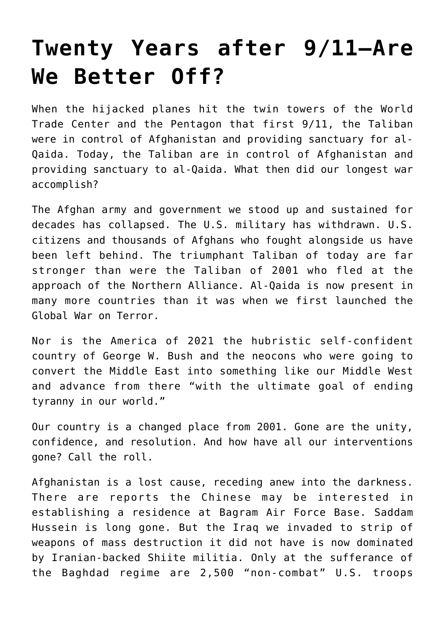## **[Twenty Years after 9/11—Are](https://intellectualtakeout.org/2021/09/twenty-years-after-9-11-are-we-better-off/) [We Better Off?](https://intellectualtakeout.org/2021/09/twenty-years-after-9-11-are-we-better-off/)**

When the hijacked planes hit the twin towers of the World Trade Center and the Pentagon that first 9/11, the Taliban were in control of Afghanistan and providing sanctuary for al-Qaida. Today, the Taliban are in control of Afghanistan and providing sanctuary to al-Qaida. What then did our longest war accomplish?

The Afghan army and government we stood up and sustained for decades has collapsed. The U.S. military has withdrawn. U.S. citizens and thousands of Afghans who fought alongside us have been left behind. The triumphant Taliban of today are far stronger than were the Taliban of 2001 who fled at the approach of the Northern Alliance. Al-Qaida is now present in many more countries than it was when we first launched the Global War on Terror.

Nor is the America of 2021 the hubristic self-confident country of George W. Bush and the neocons who were going to convert the Middle East into something like our Middle West and advance from there "with the ultimate goal of ending tyranny in our world."

Our country is a changed place from 2001. Gone are the unity, confidence, and resolution. And how have all our interventions gone? Call the roll.

Afghanistan is a lost cause, receding anew into the darkness. There are reports the Chinese may be interested in establishing a residence at Bagram Air Force Base. Saddam Hussein is long gone. But the Iraq we invaded to strip of weapons of mass destruction it did not have is now dominated by Iranian-backed Shiite militia. Only at the sufferance of the Baghdad regime are 2,500 "non-combat" U.S. troops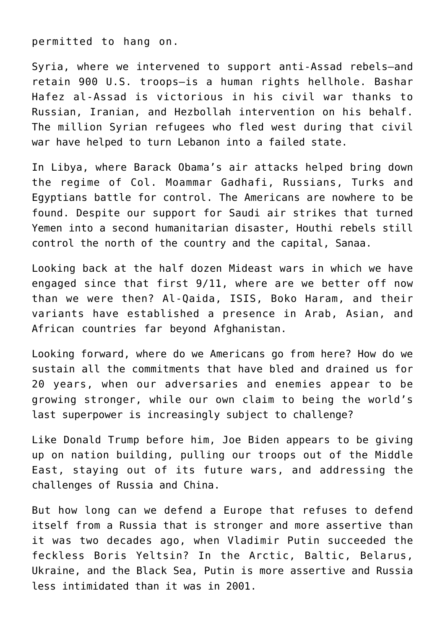permitted to hang on.

Syria, where we intervened to support anti-Assad rebels—and retain 900 U.S. troops—is a human rights hellhole. Bashar Hafez al-Assad is victorious in his civil war thanks to Russian, Iranian, and Hezbollah intervention on his behalf. The million Syrian refugees who fled west during that civil war have helped to turn Lebanon into a failed state.

In Libya, where Barack Obama's air attacks helped bring down the regime of Col. Moammar Gadhafi, Russians, Turks and Egyptians battle for control. The Americans are nowhere to be found. Despite our support for Saudi air strikes that turned Yemen into a second humanitarian disaster, Houthi rebels still control the north of the country and the capital, Sanaa.

Looking back at the half dozen Mideast wars in which we have engaged since that first 9/11, where are we better off now than we were then? Al-Qaida, ISIS, Boko Haram, and their variants have established a presence in Arab, Asian, and African countries far beyond Afghanistan.

Looking forward, where do we Americans go from here? How do we sustain all the commitments that have bled and drained us for 20 years, when our adversaries and enemies appear to be growing stronger, while our own claim to being the world's last superpower is increasingly subject to challenge?

Like Donald Trump before him, Joe Biden appears to be giving up on nation building, pulling our troops out of the Middle East, staying out of its future wars, and addressing the challenges of Russia and China.

But how long can we defend a Europe that refuses to defend itself from a Russia that is stronger and more assertive than it was two decades ago, when Vladimir Putin succeeded the feckless Boris Yeltsin? In the Arctic, Baltic, Belarus, Ukraine, and the Black Sea, Putin is more assertive and Russia less intimidated than it was in 2001.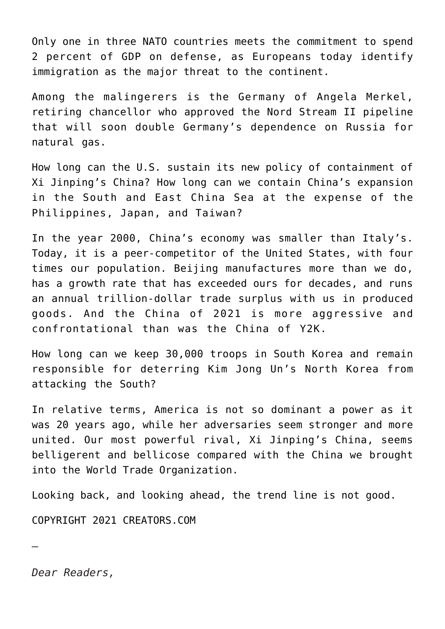Only one in three NATO countries meets the commitment to spend 2 percent of GDP on defense, as Europeans today identify immigration as the major threat to the continent.

Among the malingerers is the Germany of Angela Merkel, retiring chancellor who approved the Nord Stream II pipeline that will soon double Germany's dependence on Russia for natural gas.

How long can the U.S. sustain its new policy of containment of Xi Jinping's China? How long can we contain China's expansion in the South and East China Sea at the expense of the Philippines, Japan, and Taiwan?

In the year 2000, China's economy was smaller than Italy's. Today, it is a peer-competitor of the United States, with four times our population. Beijing manufactures more than we do, has a growth rate that has exceeded ours for decades, and runs an annual trillion-dollar trade surplus with us in produced goods. And the China of 2021 is more aggressive and confrontational than was the China of Y2K.

How long can we keep 30,000 troops in South Korea and remain responsible for deterring Kim Jong Un's North Korea from attacking the South?

In relative terms, America is not so dominant a power as it was 20 years ago, while her adversaries seem stronger and more united. Our most powerful rival, Xi Jinping's China, seems belligerent and bellicose compared with the China we brought into the World Trade Organization.

Looking back, and looking ahead, the trend line is not good.

COPYRIGHT 2021 CREATORS.COM

*Dear Readers,*

—